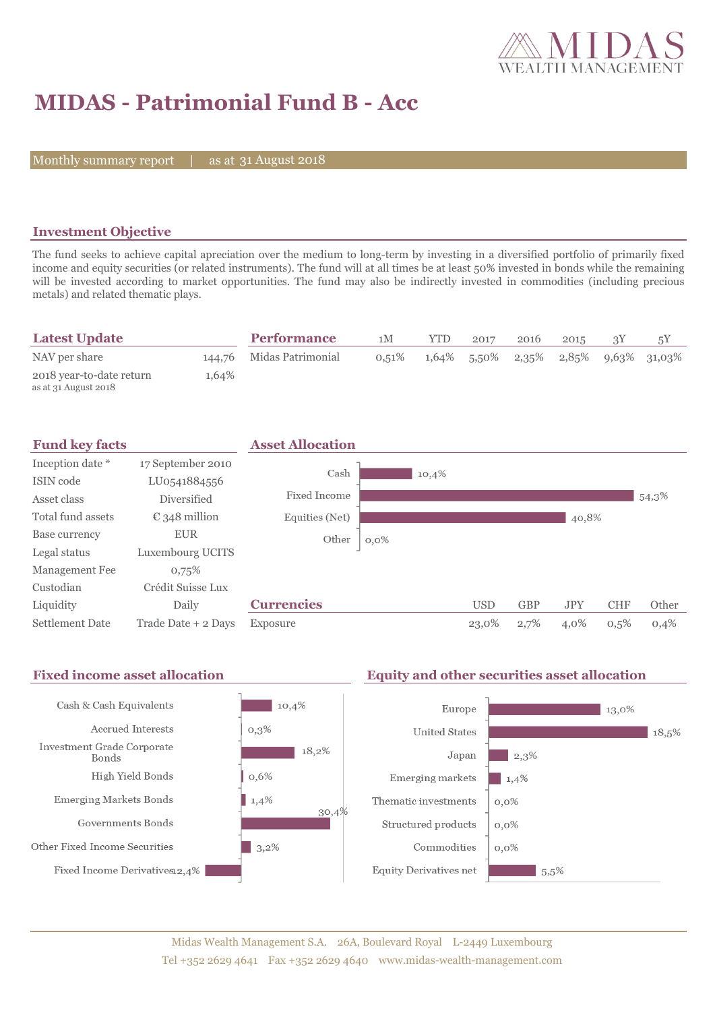

# **MIDAS - Patrimonial Fund B - Acc**

Monthly summary report | as at 31 August 2018

### **Investment Objective**

The fund seeks to achieve capital apreciation over the medium to long-term by investing in a diversified portfolio of primarily fixed income and equity securities (or related instruments). The fund will at all times be at least 50% invested in bonds while the remaining will be invested according to market opportunities. The fund may also be indirectly invested in commodities (including precious metals) and related thematic plays.

| <b>Latest Update</b>                             |       | <b>Performance</b>       | 1M    | <b>YTD</b> | 2017 | 2016 | 2015 |                                         |
|--------------------------------------------------|-------|--------------------------|-------|------------|------|------|------|-----------------------------------------|
| NAV per share                                    |       | 144,76 Midas Patrimonial | 0.51% |            |      |      |      | $1,64\%$ 5,50% 2,35% 2,85% 9,63% 31,03% |
| 2018 year-to-date return<br>as at 31 August 2018 | 1,64% |                          |       |            |      |      |      |                                         |



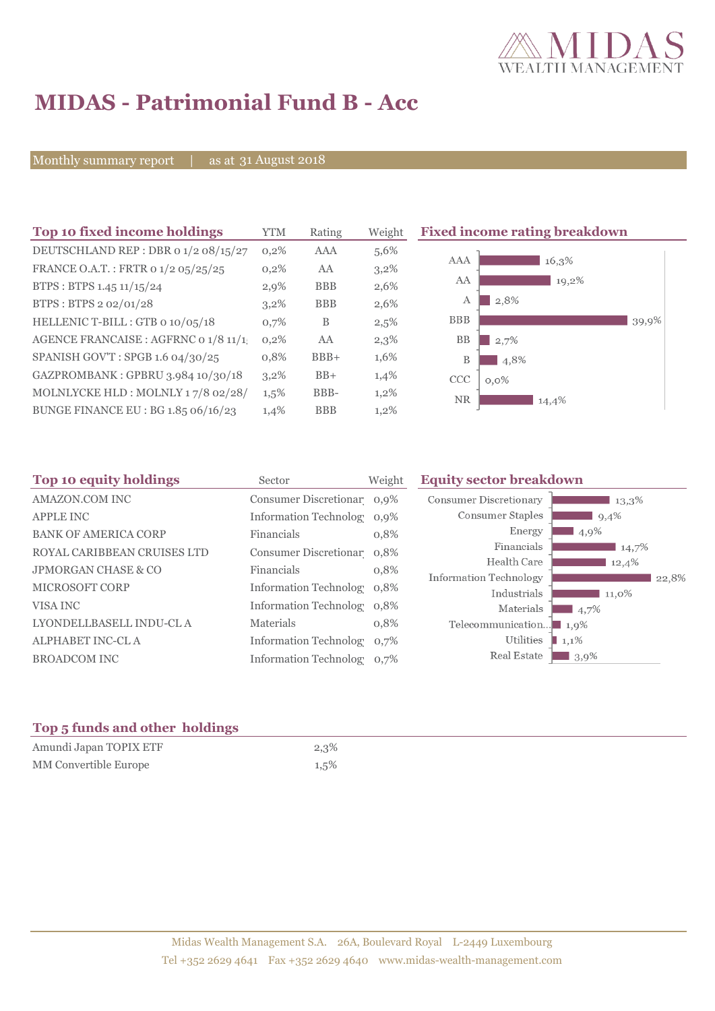

# **MIDAS - Patrimonial Fund B - Acc**

Monthly summary report | as at 31 August 2018

| Top 10 fixed income holdings          | YTM     | Rating     | Weight  | <b>Fixed income rating breakdown</b> |
|---------------------------------------|---------|------------|---------|--------------------------------------|
| DEUTSCHLAND REP : DBR 0 1/2 08/15/27  | 0,2%    | AAA        | 5,6%    |                                      |
| FRANCE O.A.T.: FRTR 0 1/2 05/25/25    | 0,2%    | AA         | $3,2\%$ | AAA<br>16,3%                         |
| BTPS: BTPS 1.45 11/15/24              | 2,9%    | <b>BBB</b> | 2,6%    | AA<br>19,2%                          |
| BTPS : BTPS 2 02/01/28                | $3,2\%$ | <b>BBB</b> | 2,6%    | 2,8%<br>А                            |
| HELLENIC T-BILL : GTB 0 10/05/18      | 0,7%    | B          | $2,5\%$ | <b>BBB</b><br>39,9%                  |
| AGENCE FRANCAISE : AGFRNC 0 1/8 11/1. | 0,2%    | AA         | 2,3%    | <b>BB</b><br>2,7%                    |
| SPANISH GOV'T: SPGB 1.6 04/30/25      | 0,8%    | $BBB+$     | 1,6%    | B<br>4,8%                            |
| GAZPROMBANK: GPBRU 3.984 10/30/18     | $3,2\%$ | $BB+$      | 1,4%    | <b>CCC</b><br>$0,0\%$                |
| MOLNLYCKE HLD: MOLNLY 17/8 02/28/     | 1,5%    | BBB-       | $1,2\%$ | <b>NR</b><br>14,4%                   |
| BUNGE FINANCE EU : BG 1.85 06/16/23   | 1,4%    | <b>BBB</b> | $1,2\%$ |                                      |

| Top 10 equity holdings         | Sector                        | Weight | <b>Equity sector breakdown</b>                             |
|--------------------------------|-------------------------------|--------|------------------------------------------------------------|
| <b>AMAZON.COM INC</b>          | Consumer Discretionar 0,9%    |        | <b>Consumer Discretionary</b><br>13,3%                     |
| <b>APPLE INC</b>               | Information Technolog 0,9%    |        | Consumer Staples<br>9,4%                                   |
| <b>BANK OF AMERICA CORP</b>    | Financials                    | 0,8%   | Energy<br>4,9%                                             |
| ROYAL CARIBBEAN CRUISES LTD    | Consumer Discretionar 0,8%    |        | Financials<br>14,7%                                        |
| <b>JPMORGAN CHASE &amp; CO</b> | Financials                    | 0,8%   | Health Care<br>12,4%                                       |
| <b>MICROSOFT CORP</b>          | <b>Information Technolog</b>  | 0,8%   | Information Technology<br>22,8%<br>Industrials<br>$11,0\%$ |
| VISA INC                       | Information Technolog 0,8%    |        | Materials<br>$\blacksquare$ 4,7%                           |
| LYONDELLBASELL INDU-CL A       | Materials                     | 0,8%   | Telecommunication<br>1.9%                                  |
| <b>ALPHABET INC-CL A</b>       | <b>Information Technolog</b>  | 0,7%   | Utilities<br>$1,1\%$                                       |
| <b>BROADCOM INC</b>            | <b>Information Technology</b> | 0,7%   | Real Estate<br>$13,9\%$                                    |

### **Top 5 funds and other holdings**

| Amundi Japan TOPIX ETF       | 2,3%    |
|------------------------------|---------|
| <b>MM Convertible Europe</b> | $1,5\%$ |